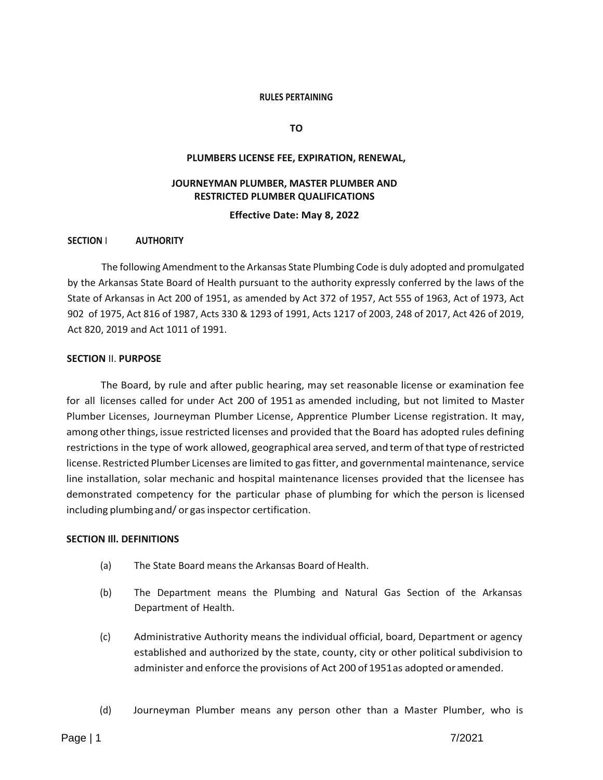#### **RULES PERTAINING**

**TO**

#### **PLUMBERS LICENSE FEE, EXPIRATION, RENEWAL,**

## **JOURNEYMAN PLUMBER, MASTER PLUMBER AND RESTRICTED PLUMBER QUALIFICATIONS**

**Effective Date: May 8, 2022**

### **SECTION** I **AUTHORITY**

The following Amendment to the Arkansas State Plumbing Code is duly adopted and promulgated by the Arkansas State Board of Health pursuant to the authority expressly conferred by the laws of the State of Arkansas in Act 200 of 1951, as amended by Act 372 of 1957, Act 555 of 1963, Act of 1973, Act 902 of 1975, Act 816 of 1987, Acts 330 & 1293 of 1991, Acts 1217 of 2003, 248 of 2017, Act 426 of 2019, Act 820, 2019 and Act 1011 of 1991.

### **SECTION** II. **PURPOSE**

The Board, by rule and after public hearing, may set reasonable license or examination fee for all licenses called for under Act 200 of 1951 as amended including, but not limited to Master Plumber Licenses, Journeyman Plumber License, Apprentice Plumber License registration. It may, among other things, issue restricted licenses and provided that the Board has adopted rules defining restrictions in the type of work allowed, geographical area served, and term of that type of restricted license. Restricted Plumber Licenses are limited to gas fitter, and governmental maintenance, service line installation, solar mechanic and hospital maintenance licenses provided that the licensee has demonstrated competency for the particular phase of plumbing for which the person is licensed including plumbing and/ or gas inspector certification.

### **SECTION Ill. DEFINITIONS**

- (a) The State Board means the Arkansas Board of Health.
- (b) The Department means the Plumbing and Natural Gas Section of the Arkansas Department of Health.
- (c) Administrative Authority means the individual official, board, Department or agency established and authorized by the state, county, city or other political subdivision to administer and enforce the provisions of Act 200 of 1951as adopted or amended.
- (d) Journeyman Plumber means any person other than a Master Plumber, who is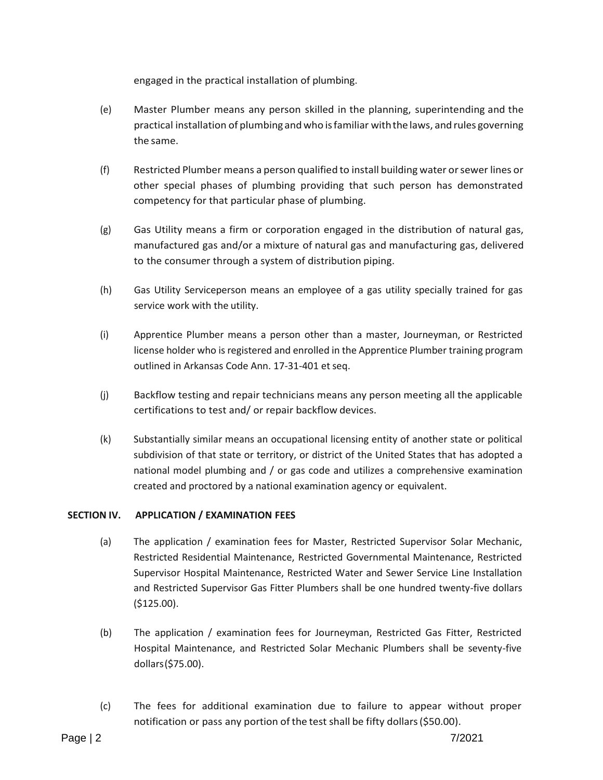engaged in the practical installation of plumbing.

- (e) Master Plumber means any person skilled in the planning, superintending and the practical installation of plumbing andwho isfamiliar withthe laws, and rules governing the same.
- (f) Restricted Plumber means a person qualified to install building water orsewer lines or other special phases of plumbing providing that such person has demonstrated competency for that particular phase of plumbing.
- (g) Gas Utility means a firm or corporation engaged in the distribution of natural gas, manufactured gas and/or a mixture of natural gas and manufacturing gas, delivered to the consumer through a system of distribution piping.
- (h) Gas Utility Serviceperson means an employee of a gas utility specially trained for gas service work with the utility.
- (i) Apprentice Plumber means a person other than a master, Journeyman, or Restricted license holder who is registered and enrolled in the Apprentice Plumber training program outlined in Arkansas Code Ann. 17-31-401 et seq.
- (j) Backflow testing and repair technicians means any person meeting all the applicable certifications to test and/ or repair backflow devices.
- (k) Substantially similar means an occupational licensing entity of another state or political subdivision of that state or territory, or district of the United States that has adopted a national model plumbing and / or gas code and utilizes a comprehensive examination created and proctored by a national examination agency or equivalent.

## **SECTION IV. APPLICATION / EXAMINATION FEES**

- (a) The application / examination fees for Master, Restricted Supervisor Solar Mechanic, Restricted Residential Maintenance, Restricted Governmental Maintenance, Restricted Supervisor Hospital Maintenance, Restricted Water and Sewer Service Line Installation and Restricted Supervisor Gas Fitter Plumbers shall be one hundred twenty-five dollars (\$125.00).
- (b) The application / examination fees for Journeyman, Restricted Gas Fitter, Restricted Hospital Maintenance, and Restricted Solar Mechanic Plumbers shall be seventy-five dollars(\$75.00).
- (c) The fees for additional examination due to failure to appear without proper notification or pass any portion of the test shall be fifty dollars(\$50.00).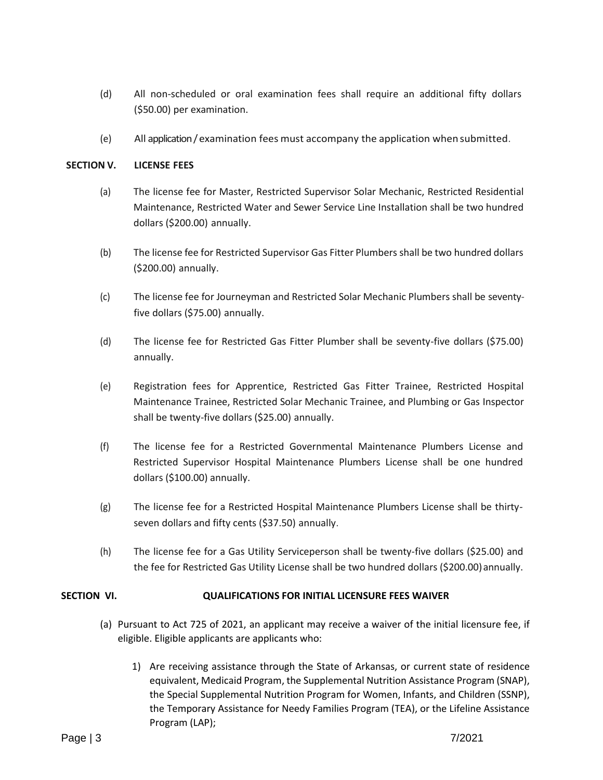- (d) All non-scheduled or oral examination fees shall require an additional fifty dollars (\$50.00) per examination.
- (e) All application /examination fees must accompany the application whensubmitted.

## **SECTION V. LICENSE FEES**

- (a) The license fee for Master, Restricted Supervisor Solar Mechanic, Restricted Residential Maintenance, Restricted Water and Sewer Service Line Installation shall be two hundred dollars (\$200.00) annually.
- (b) The license fee for Restricted Supervisor Gas Fitter Plumbers shall be two hundred dollars (\$200.00) annually.
- (c) The license fee for Journeyman and Restricted Solar Mechanic Plumbers shall be seventyfive dollars (\$75.00) annually.
- (d) The license fee for Restricted Gas Fitter Plumber shall be seventy-five dollars (\$75.00) annually.
- (e) Registration fees for Apprentice, Restricted Gas Fitter Trainee, Restricted Hospital Maintenance Trainee, Restricted Solar Mechanic Trainee, and Plumbing or Gas Inspector shall be twenty-five dollars (\$25.00) annually.
- (f) The license fee for a Restricted Governmental Maintenance Plumbers License and Restricted Supervisor Hospital Maintenance Plumbers License shall be one hundred dollars (\$100.00) annually.
- (g) The license fee for a Restricted Hospital Maintenance Plumbers License shall be thirtyseven dollars and fifty cents (\$37.50) annually.
- (h) The license fee for a Gas Utility Serviceperson shall be twenty-five dollars (\$25.00) and the fee for Restricted Gas Utility License shall be two hundred dollars (\$200.00) annually.

## **SECTION VI. QUALIFICATIONS FOR INITIAL LICENSURE FEES WAIVER**

- (a) Pursuant to Act 725 of 2021, an applicant may receive a waiver of the initial licensure fee, if eligible. Eligible applicants are applicants who:
	- 1) Are receiving assistance through the State of Arkansas, or current state of residence equivalent, Medicaid Program, the Supplemental Nutrition Assistance Program (SNAP), the Special Supplemental Nutrition Program for Women, Infants, and Children (SSNP), the Temporary Assistance for Needy Families Program (TEA), or the Lifeline Assistance Program (LAP);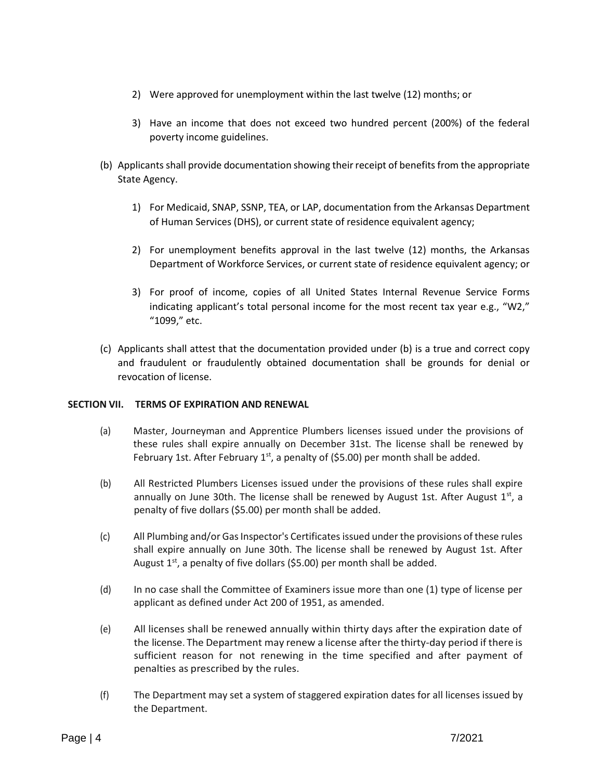- 2) Were approved for unemployment within the last twelve (12) months; or
- 3) Have an income that does not exceed two hundred percent (200%) of the federal poverty income guidelines.
- (b) Applicants shall provide documentation showing their receipt of benefits from the appropriate State Agency.
	- 1) For Medicaid, SNAP, SSNP, TEA, or LAP, documentation from the Arkansas Department of Human Services (DHS), or current state of residence equivalent agency;
	- 2) For unemployment benefits approval in the last twelve (12) months, the Arkansas Department of Workforce Services, or current state of residence equivalent agency; or
	- 3) For proof of income, copies of all United States Internal Revenue Service Forms indicating applicant's total personal income for the most recent tax year e.g., "W2," "1099," etc.
- (c) Applicants shall attest that the documentation provided under (b) is a true and correct copy and fraudulent or fraudulently obtained documentation shall be grounds for denial or revocation of license.

## **SECTION VII. TERMS OF EXPIRATION AND RENEWAL**

- (a) Master, Journeyman and Apprentice Plumbers licenses issued under the provisions of these rules shall expire annually on December 31st. The license shall be renewed by February 1st. After February  $1<sup>st</sup>$ , a penalty of (\$5.00) per month shall be added.
- (b) All Restricted Plumbers Licenses issued under the provisions of these rules shall expire annually on June 30th. The license shall be renewed by August 1st. After August 1st, a penalty of five dollars (\$5.00) per month shall be added.
- (c) All Plumbing and/or Gas Inspector's Certificates issued under the provisions of these rules shall expire annually on June 30th. The license shall be renewed by August 1st. After August  $1<sup>st</sup>$ , a penalty of five dollars (\$5.00) per month shall be added.
- (d) In no case shall the Committee of Examiners issue more than one (1) type of license per applicant as defined under Act 200 of 1951, as amended.
- (e) All licenses shall be renewed annually within thirty days after the expiration date of the license. The Department may renew a license after the thirty-day period if there is sufficient reason for not renewing in the time specified and after payment of penalties as prescribed by the rules.
- (f) The Department may set a system of staggered expiration dates for all licenses issued by the Department.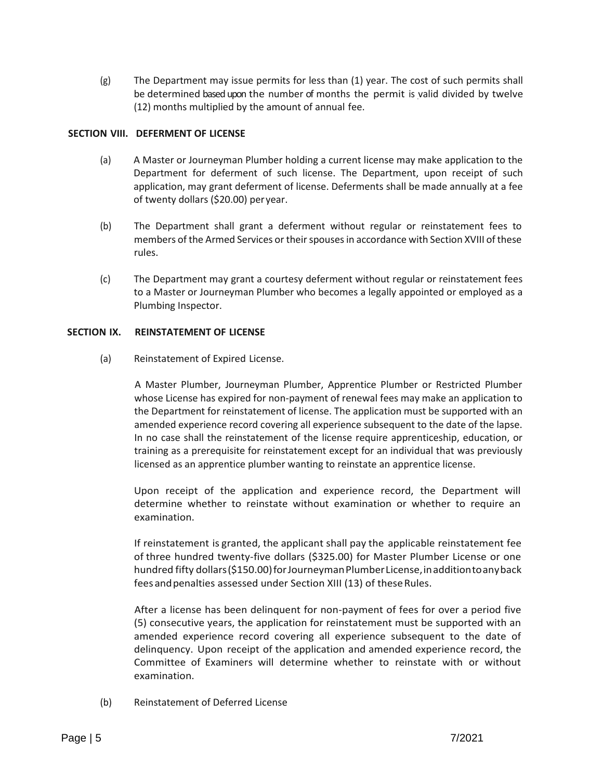(g) The Department may issue permits for less than (1) year. The cost of such permits shall be determined based upon the number of months the permit is valid divided by twelve (12) months multiplied by the amount of annual fee.

## **SECTION VIII. DEFERMENT OF LICENSE**

- (a) A Master or Journeyman Plumber holding a current license may make application to the Department for deferment of such license. The Department, upon receipt of such application, may grant deferment of license. Deferments shall be made annually at a fee of twenty dollars (\$20.00) peryear.
- (b) The Department shall grant a deferment without regular or reinstatement fees to members of the Armed Services or their spouses in accordance with Section XVIII of these rules.
- (c) The Department may grant a courtesy deferment without regular or reinstatement fees to a Master or Journeyman Plumber who becomes a legally appointed or employed as a Plumbing Inspector.

## **SECTION IX. REINSTATEMENT OF LICENSE**

(a) Reinstatement of Expired License.

A Master Plumber, Journeyman Plumber, Apprentice Plumber or Restricted Plumber whose License has expired for non-payment of renewal fees may make an application to the Department for reinstatement of license. The application must be supported with an amended experience record covering all experience subsequent to the date of the lapse. In no case shall the reinstatement of the license require apprenticeship, education, or training as a prerequisite for reinstatement except for an individual that was previously licensed as an apprentice plumber wanting to reinstate an apprentice license.

Upon receipt of the application and experience record, the Department will determine whether to reinstate without examination or whether to require an examination.

If reinstatement is granted, the applicant shall pay the applicable reinstatement fee of three hundred twenty-five dollars (\$325.00) for Master Plumber License or one hundred fifty dollars (\$150.00) for Journeyman Plumber License, in addition to any back fees and penalties assessed under Section XIII (13) of these Rules.

After a license has been delinquent for non-payment of fees for over a period five (5) consecutive years, the application for reinstatement must be supported with an amended experience record covering all experience subsequent to the date of delinquency. Upon receipt of the application and amended experience record, the Committee of Examiners will determine whether to reinstate with or without examination.

(b) Reinstatement of Deferred License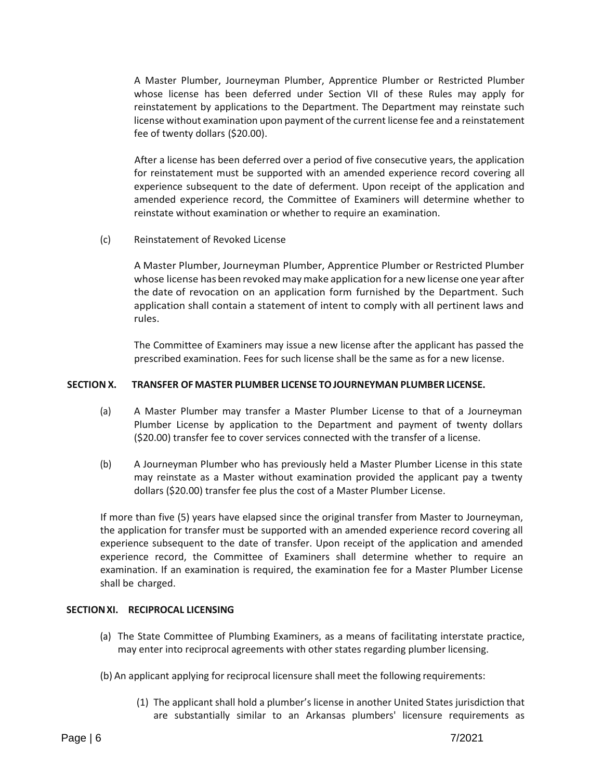A Master Plumber, Journeyman Plumber, Apprentice Plumber or Restricted Plumber whose license has been deferred under Section VII of these Rules may apply for reinstatement by applications to the Department. The Department may reinstate such license without examination upon payment of the current license fee and a reinstatement fee of twenty dollars (\$20.00).

After a license has been deferred over a period of five consecutive years, the application for reinstatement must be supported with an amended experience record covering all experience subsequent to the date of deferment. Upon receipt of the application and amended experience record, the Committee of Examiners will determine whether to reinstate without examination or whether to require an examination.

(c) Reinstatement of Revoked License

A Master Plumber, Journeyman Plumber, Apprentice Plumber or Restricted Plumber whose license has been revoked may make application for a new license one year after the date of revocation on an application form furnished by the Department. Such application shall contain a statement of intent to comply with all pertinent laws and rules.

The Committee of Examiners may issue a new license after the applicant has passed the prescribed examination. Fees for such license shall be the same as for a new license.

## **SECTION X. TRANSFER OF MASTER PLUMBER LICENSE TOJOURNEYMAN PLUMBER LICENSE.**

- (a) A Master Plumber may transfer a Master Plumber License to that of a Journeyman Plumber License by application to the Department and payment of twenty dollars (\$20.00) transfer fee to cover services connected with the transfer of a license.
- (b) A Journeyman Plumber who has previously held a Master Plumber License in this state may reinstate as a Master without examination provided the applicant pay a twenty dollars (\$20.00) transfer fee plus the cost of a Master Plumber License.

If more than five (5) years have elapsed since the original transfer from Master to Journeyman, the application for transfer must be supported with an amended experience record covering all experience subsequent to the date of transfer. Upon receipt of the application and amended experience record, the Committee of Examiners shall determine whether to require an examination. If an examination is required, the examination fee for a Master Plumber License shall be charged.

### **SECTIONXI. RECIPROCAL LICENSING**

- (a) The State Committee of Plumbing Examiners, as a means of facilitating interstate practice, may enter into reciprocal agreements with other states regarding plumber licensing.
- (b) An applicant applying for reciprocal licensure shall meet the following requirements:
	- (1) The applicant shall hold a plumber's license in another United States jurisdiction that are substantially similar to an Arkansas plumbers' licensure requirements as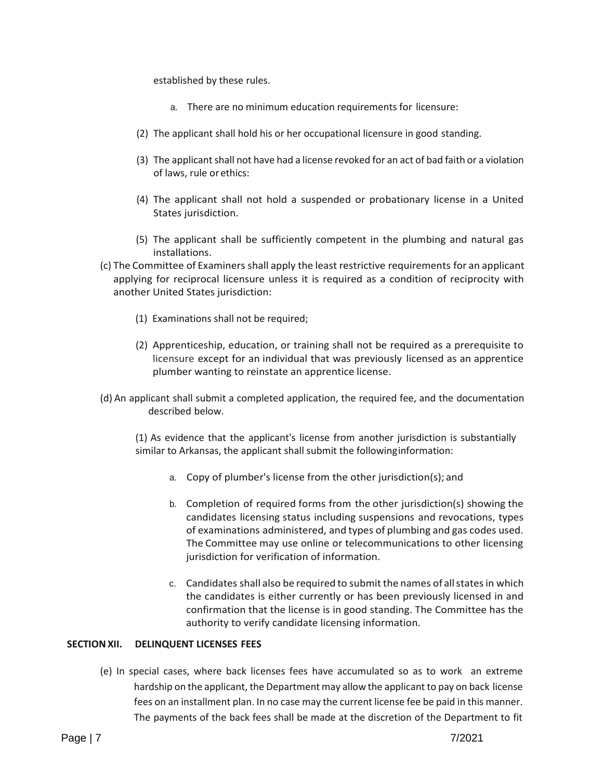established by these rules.

- a. There are no minimum education requirements for licensure:
- (2) The applicant shall hold his or her occupational licensure in good standing.
- (3) The applicant shall not have had a license revoked for an act of bad faith or a violation of laws, rule or ethics:
- (4) The applicant shall not hold a suspended or probationary license in a United States jurisdiction.
- (5) The applicant shall be sufficiently competent in the plumbing and natural gas installations.
- (c) The Committee of Examiners shall apply the least restrictive requirements for an applicant applying for reciprocal licensure unless it is required as a condition of reciprocity with another United States jurisdiction:
	- (1) Examinations shall not be required;
	- (2) Apprenticeship, education, or training shall not be required as a prerequisite to licensure except for an individual that was previously licensed as an apprentice plumber wanting to reinstate an apprentice license.
- (d) An applicant shall submit a completed application, the required fee, and the documentation described below.

(1) As evidence that the applicant's license from another jurisdiction is substantially similar to Arkansas, the applicant shall submit the followinginformation:

- a. Copy of plumber's license from the other jurisdiction(s); and
- b. Completion of required forms from the other jurisdiction(s) showing the candidates licensing status including suspensions and revocations, types of examinations administered, and types of plumbing and gas codes used. The Committee may use online or telecommunications to other licensing jurisdiction for verification of information.
- c. Candidates shall also be required to submit the names of allstatesin which the candidates is either currently or has been previously licensed in and confirmation that the license is in good standing. The Committee has the authority to verify candidate licensing information.

## **SECTIONXII. DELINQUENT LICENSES FEES**

(e) In special cases, where back licenses fees have accumulated so as to work an extreme hardship on the applicant, the Department may allow the applicant to pay on back license fees on an installment plan. In no case may the current license fee be paid in this manner. The payments of the back fees shall be made at the discretion of the Department to fit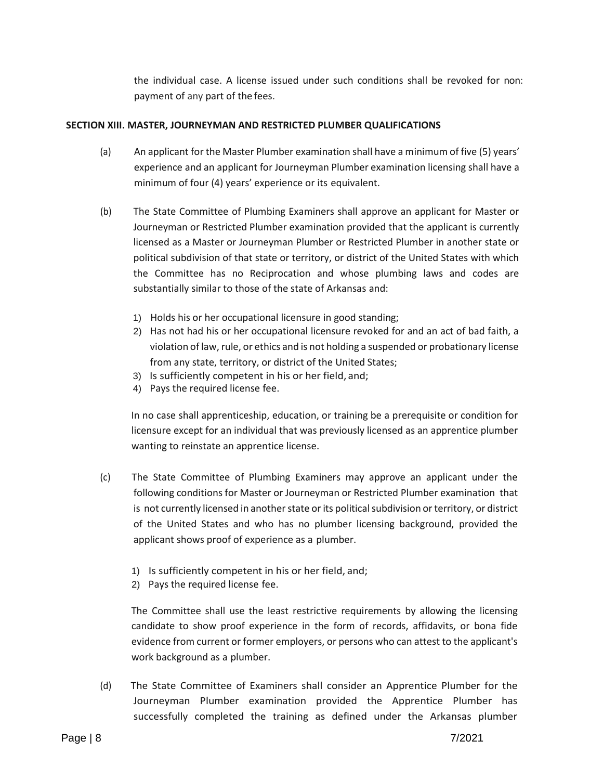the individual case. A license issued under such conditions shall be revoked for non: payment of any part of the fees.

## **SECTION XIII. MASTER, JOURNEYMAN AND RESTRICTED PLUMBER QUALIFICATIONS**

- (a) An applicant for the Master Plumber examination shall have a minimum of five (5) years' experience and an applicant for Journeyman Plumber examination licensing shall have a minimum of four (4) years' experience or its equivalent.
- (b) The State Committee of Plumbing Examiners shall approve an applicant for Master or Journeyman or Restricted Plumber examination provided that the applicant is currently licensed as a Master or Journeyman Plumber or Restricted Plumber in another state or political subdivision of that state or territory, or district of the United States with which the Committee has no Reciprocation and whose plumbing laws and codes are substantially similar to those of the state of Arkansas and:
	- 1) Holds his or her occupational licensure in good standing;
	- 2) Has not had his or her occupational licensure revoked for and an act of bad faith, a violation of law, rule, or ethics and is not holding a suspended or probationary license from any state, territory, or district of the United States;
	- 3) Is sufficiently competent in his or her field, and;
	- 4) Pays the required license fee.

In no case shall apprenticeship, education, or training be a prerequisite or condition for licensure except for an individual that was previously licensed as an apprentice plumber wanting to reinstate an apprentice license.

- (c) The State Committee of Plumbing Examiners may approve an applicant under the following conditions for Master or Journeyman or Restricted Plumber examination that is not currently licensed in another state or its political subdivision or territory, or district of the United States and who has no plumber licensing background, provided the applicant shows proof of experience as a plumber.
	- 1) Is sufficiently competent in his or her field, and;
	- 2) Pays the required license fee.

The Committee shall use the least restrictive requirements by allowing the licensing candidate to show proof experience in the form of records, affidavits, or bona fide evidence from current or former employers, or persons who can attest to the applicant's work background as a plumber.

(d) The State Committee of Examiners shall consider an Apprentice Plumber for the Journeyman Plumber examination provided the Apprentice Plumber has successfully completed the training as defined under the Arkansas plumber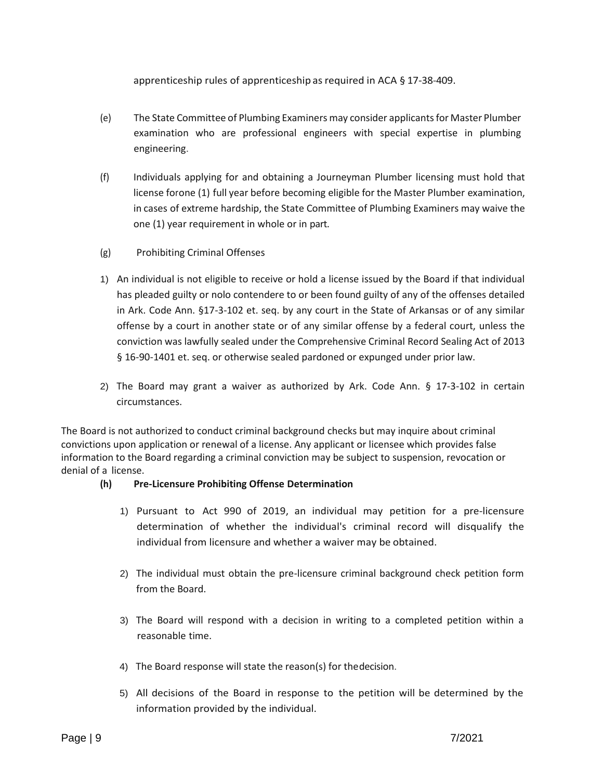apprenticeship rules of apprenticeship as required in ACA § 17-38-409.

- (e) The State Committee of Plumbing Examiners may consider applicants for Master Plumber examination who are professional engineers with special expertise in plumbing engineering.
- (f) Individuals applying for and obtaining a Journeyman Plumber licensing must hold that license forone (1) full year before becoming eligible for the Master Plumber examination, in cases of extreme hardship, the State Committee of Plumbing Examiners may waive the one (1) year requirement in whole or in part.
- (g) Prohibiting Criminal Offenses
- 1) An individual is not eligible to receive or hold a license issued by the Board if that individual has pleaded guilty or nolo contendere to or been found guilty of any of the offenses detailed in Ark. Code Ann. §17-3-102 et. seq. by any court in the State of Arkansas or of any similar offense by a court in another state or of any similar offense by a federal court, unless the conviction was lawfully sealed under the Comprehensive Criminal Record Sealing Act of 2013 § 16-90-1401 et. seq. or otherwise sealed pardoned or expunged under prior law.
- 2) The Board may grant a waiver as authorized by Ark. Code Ann. § 17-3-102 in certain circumstances.

The Board is not authorized to conduct criminal background checks but may inquire about criminal convictions upon application or renewal of a license. Any applicant or licensee which provides false information to the Board regarding a criminal conviction may be subject to suspension, revocation or denial of a license.

# **(h) Pre-Licensure Prohibiting Offense Determination**

- 1) Pursuant to Act 990 of 2019, an individual may petition for a pre-licensure determination of whether the individual's criminal record will disqualify the individual from licensure and whether a waiver may be obtained.
- 2) The individual must obtain the pre-licensure criminal background check petition form from the Board.
- 3) The Board will respond with a decision in writing to a completed petition within a reasonable time.
- 4) The Board response will state the reason(s) for thedecision.
- 5) All decisions of the Board in response to the petition will be determined by the information provided by the individual.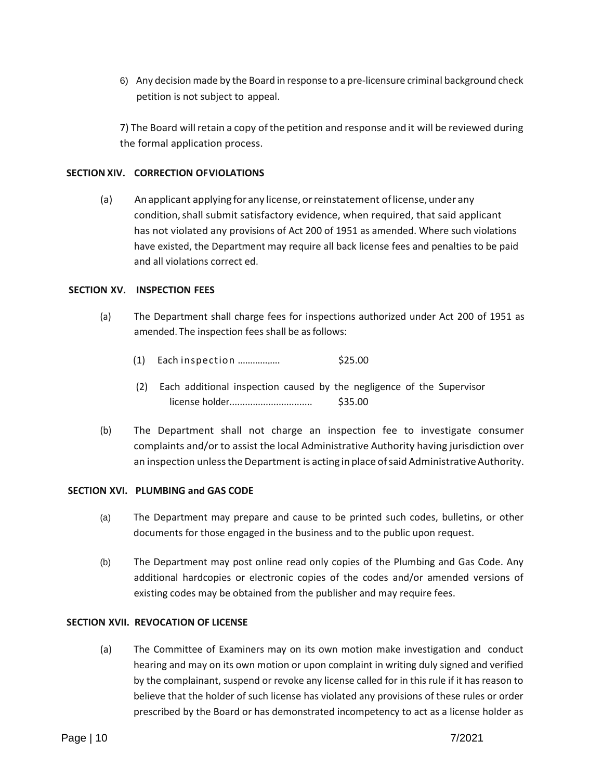6) Any decision made by the Board in response to a pre-licensure criminal background check petition is not subject to appeal.

7) The Board willretain a copy ofthe petition and response and it will be reviewed during the formal application process.

## **SECTION XIV. CORRECTION OFVIOLATIONS**

(a) Anapplicant applying for any license, orreinstatement oflicense, under any condition,shall submit satisfactory evidence, when required, that said applicant has not violated any provisions of Act 200 of 1951 as amended. Where such violations have existed, the Department may require all back license fees and penalties to be paid and all violations correct ed.

### **SECTION XV. INSPECTION FEES**

- (a) The Department shall charge fees for inspections authorized under Act 200 of 1951 as amended. The inspection fees shall be as follows:
	- (1) Each inspection ............ .... \$25.00
	- (2) Each additional inspection caused by the negligence of the Supervisor license holder................................ \$35.00
- (b) The Department shall not charge an inspection fee to investigate consumer complaints and/or to assist the local Administrative Authority having jurisdiction over an inspection unless the Department is acting in place of said Administrative Authority.

### **SECTION XVI. PLUMBING and GAS CODE**

- (a) The Department may prepare and cause to be printed such codes, bulletins, or other documents for those engaged in the business and to the public upon request.
- (b) The Department may post online read only copies of the Plumbing and Gas Code. Any additional hardcopies or electronic copies of the codes and/or amended versions of existing codes may be obtained from the publisher and may require fees.

### **SECTION XVII. REVOCATION OF LICENSE**

(a) The Committee of Examiners may on its own motion make investigation and conduct hearing and may on its own motion or upon complaint in writing duly signed and verified by the complainant, suspend or revoke any license called for in this rule if it has reason to believe that the holder of such license has violated any provisions of these rules or order prescribed by the Board or has demonstrated incompetency to act as a license holder as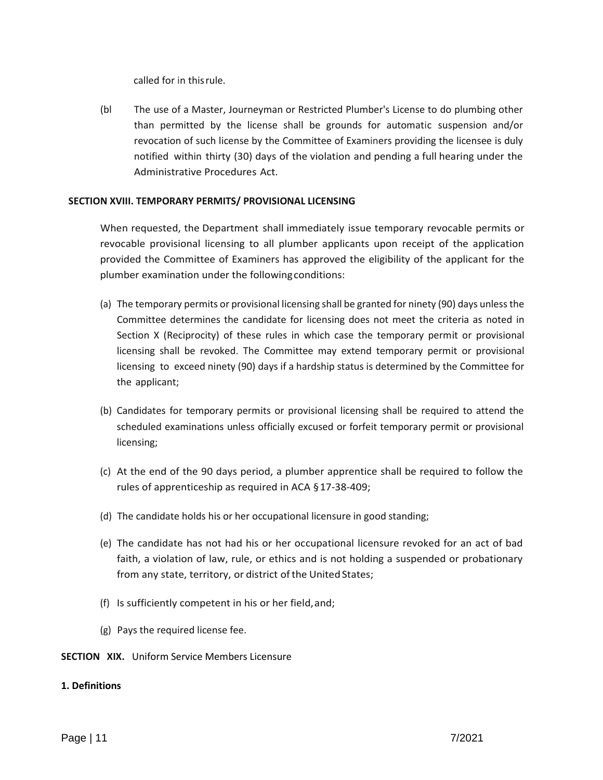called for in thisrule.

(bl The use of a Master, Journeyman or Restricted Plumber's License to do plumbing other than permitted by the license shall be grounds for automatic suspension and/or revocation of such license by the Committee of Examiners providing the licensee is duly notified within thirty (30) days of the violation and pending a full hearing under the Administrative Procedures Act.

### **SECTION XVIII. TEMPORARY PERMITS/ PROVISIONAL LICENSING**

When requested, the Department shall immediately issue temporary revocable permits or revocable provisional licensing to all plumber applicants upon receipt of the application provided the Committee of Examiners has approved the eligibility of the applicant for the plumber examination under the followingconditions:

- (a) The temporary permits or provisional licensing shall be granted for ninety (90) days unless the Committee determines the candidate for licensing does not meet the criteria as noted in Section X (Reciprocity) of these rules in which case the temporary permit or provisional licensing shall be revoked. The Committee may extend temporary permit or provisional licensing to exceed ninety (90) days if a hardship status is determined by the Committee for the applicant;
- (b) Candidates for temporary permits or provisional licensing shall be required to attend the scheduled examinations unless officially excused or forfeit temporary permit or provisional licensing;
- (c) At the end of the 90 days period, a plumber apprentice shall be required to follow the rules of apprenticeship as required in ACA §17-38-409;
- (d) The candidate holds his or her occupational licensure in good standing;
- (e) The candidate has not had his or her occupational licensure revoked for an act of bad faith, a violation of law, rule, or ethics and is not holding a suspended or probationary from any state, territory, or district of the United States;
- (f) Is sufficiently competent in his or her field,and;
- (g) Pays the required license fee.

## **SECTION XIX.** Uniform Service Members Licensure

## **1. Definitions**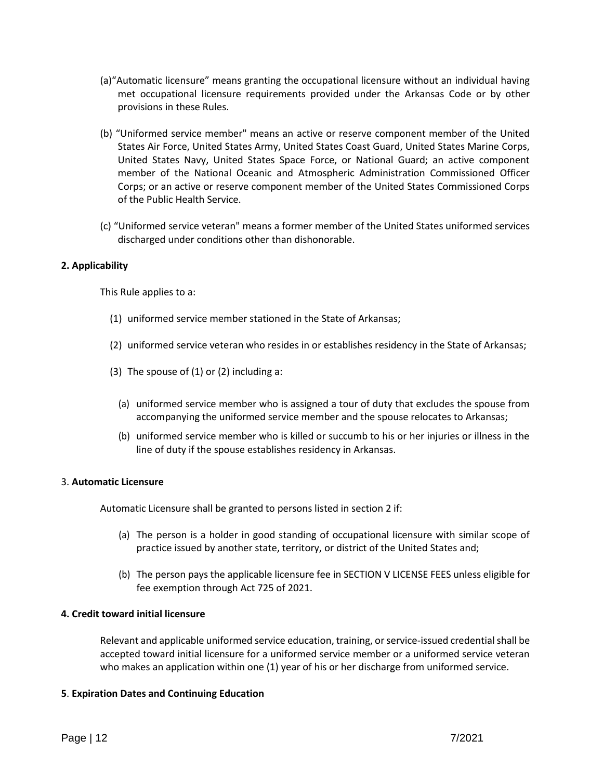- (a)"Automatic licensure" means granting the occupational licensure without an individual having met occupational licensure requirements provided under the Arkansas Code or by other provisions in these Rules.
- (b) "Uniformed service member" means an active or reserve component member of the United States Air Force, United States Army, United States Coast Guard, United States Marine Corps, United States Navy, United States Space Force, or National Guard; an active component member of the National Oceanic and Atmospheric Administration Commissioned Officer Corps; or an active or reserve component member of the United States Commissioned Corps of the Public Health Service.
- (c) "Uniformed service veteran" means a former member of the United States uniformed services discharged under conditions other than dishonorable.

## **2. Applicability**

This Rule applies to a:

- (1) uniformed service member stationed in the State of Arkansas;
- (2) uniformed service veteran who resides in or establishes residency in the State of Arkansas;
- (3) The spouse of  $(1)$  or  $(2)$  including a:
	- (a) uniformed service member who is assigned a tour of duty that excludes the spouse from accompanying the uniformed service member and the spouse relocates to Arkansas;
	- (b) uniformed service member who is killed or succumb to his or her injuries or illness in the line of duty if the spouse establishes residency in Arkansas.

# 3. **Automatic Licensure**

Automatic Licensure shall be granted to persons listed in section 2 if:

- (a) The person is a holder in good standing of occupational licensure with similar scope of practice issued by another state, territory, or district of the United States and;
- (b) The person pays the applicable licensure fee in SECTION V LICENSE FEES unless eligible for fee exemption through Act 725 of 2021.

### **4. Credit toward initial licensure**

Relevant and applicable uniformed service education, training, or service-issued credential shall be accepted toward initial licensure for a uniformed service member or a uniformed service veteran who makes an application within one (1) year of his or her discharge from uniformed service.

### **5**. **Expiration Dates and Continuing Education**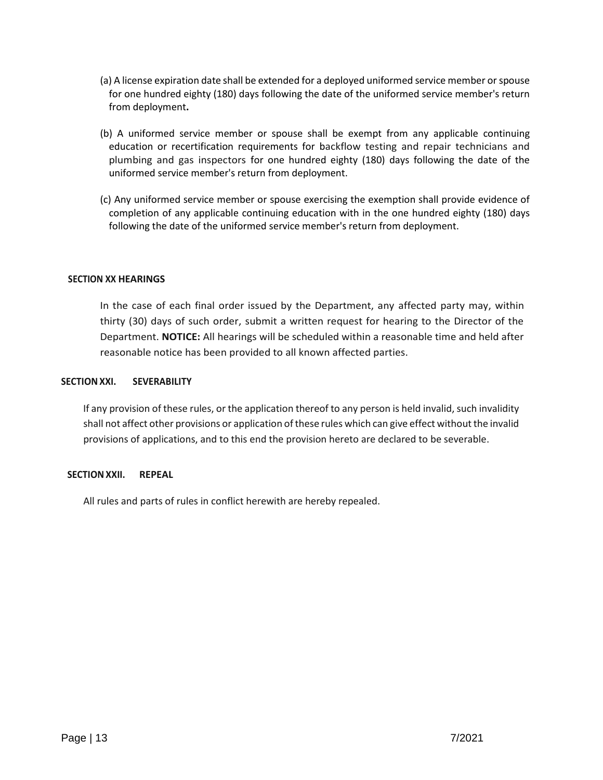- (a) A license expiration date shall be extended for a deployed uniformed service member or spouse for one hundred eighty (180) days following the date of the uniformed service member's return from deployment**.**
- (b) A uniformed service member or spouse shall be exempt from any applicable continuing education or recertification requirements for backflow testing and repair technicians and plumbing and gas inspectors for one hundred eighty (180) days following the date of the uniformed service member's return from deployment.
- (c) Any uniformed service member or spouse exercising the exemption shall provide evidence of completion of any applicable continuing education with in the one hundred eighty (180) days following the date of the uniformed service member's return from deployment.

## **SECTION XX HEARINGS**

In the case of each final order issued by the Department, any affected party may, within thirty (30) days of such order, submit a written request for hearing to the Director of the Department. **NOTICE:** All hearings will be scheduled within a reasonable time and held after reasonable notice has been provided to all known affected parties.

### **SECTIONXXI. SEVERABILITY**

If any provision of these rules, or the application thereof to any person is held invalid, such invalidity shall not affect other provisions or application of these rules which can give effect without the invalid provisions of applications, and to this end the provision hereto are declared to be severable.

### **SECTIONXXII. REPEAL**

All rules and parts of rules in conflict herewith are hereby repealed.